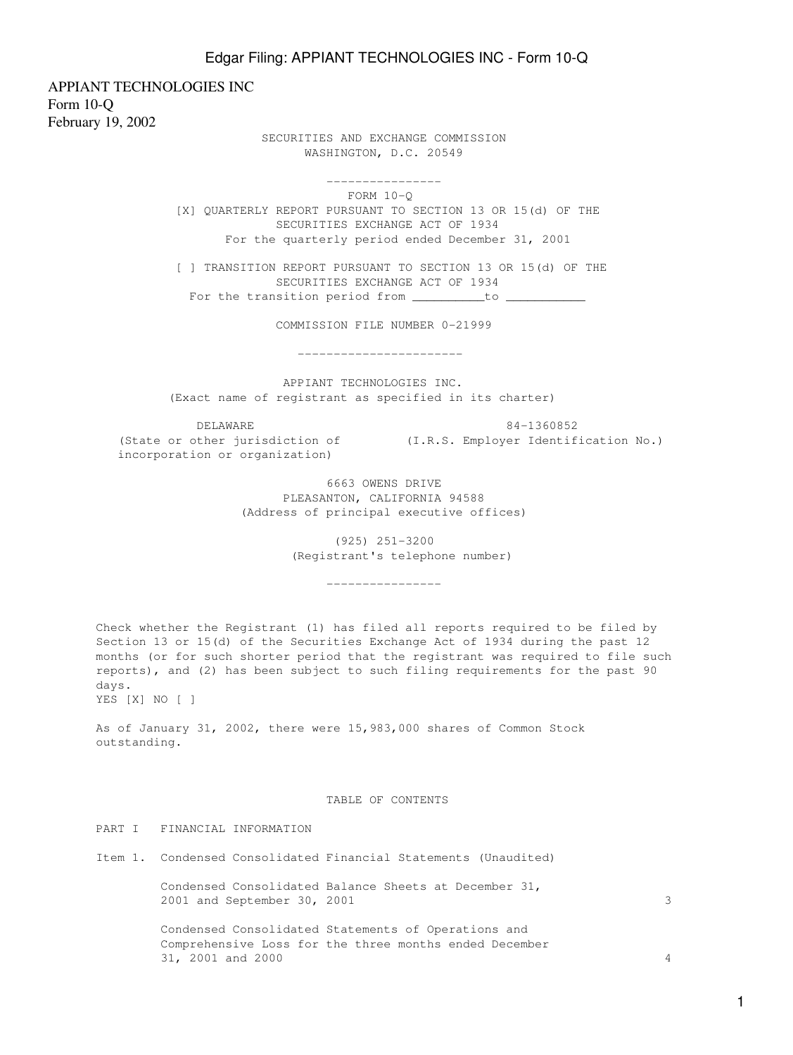APPIANT TECHNOLOGIES INC Form 10-Q February 19, 2002

> SECURITIES AND EXCHANGE COMMISSION WASHINGTON, D.C. 20549

 ---------------- FORM 10-Q [X] QUARTERLY REPORT PURSUANT TO SECTION 13 OR 15(d) OF THE SECURITIES EXCHANGE ACT OF 1934 For the quarterly period ended December 31, 2001

 [ ] TRANSITION REPORT PURSUANT TO SECTION 13 OR 15(d) OF THE SECURITIES EXCHANGE ACT OF 1934 For the transition period from \_\_\_\_\_\_\_\_\_\_to \_\_

COMMISSION FILE NUMBER 0-21999

-----------------------

 APPIANT TECHNOLOGIES INC. (Exact name of registrant as specified in its charter)

 DELAWARE 84-1360852 (State or other jurisdiction of (I.R.S. Employer Identification No.) incorporation or organization)

 6663 OWENS DRIVE PLEASANTON, CALIFORNIA 94588 (Address of principal executive offices)

> (925) 251-3200 (Registrant's telephone number)

> > ----------------

Check whether the Registrant (1) has filed all reports required to be filed by Section 13 or 15(d) of the Securities Exchange Act of 1934 during the past 12 months (or for such shorter period that the registrant was required to file such reports), and (2) has been subject to such filing requirements for the past 90 days. YES [X] NO [ ]

As of January 31, 2002, there were 15,983,000 shares of Common Stock outstanding.

#### TABLE OF CONTENTS

PART I FINANCIAL INFORMATION

Item 1. Condensed Consolidated Financial Statements (Unaudited)

 Condensed Consolidated Balance Sheets at December 31, 2001 and September 30, 2001 3

 Condensed Consolidated Statements of Operations and Comprehensive Loss for the three months ended December 31, 2001 and 2000 4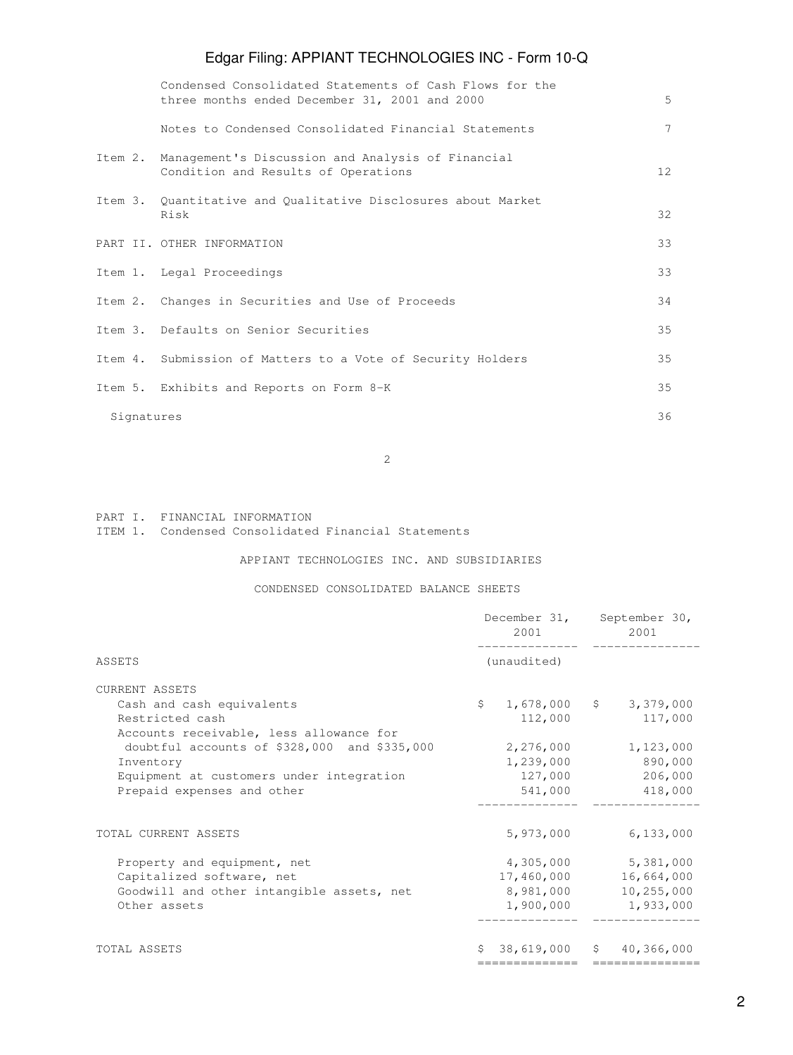|         | Condensed Consolidated Statements of Cash Flows for the<br>three months ended December 31, 2001 and 2000 | 5               |
|---------|----------------------------------------------------------------------------------------------------------|-----------------|
|         | Notes to Condensed Consolidated Financial Statements                                                     | 7               |
| Item 2. | Management's Discussion and Analysis of Financial<br>Condition and Results of Operations                 | 12 <sup>°</sup> |
|         | Item 3. Quantitative and Qualitative Disclosures about Market<br>Risk                                    | 32              |
|         | PART II. OTHER INFORMATION                                                                               | 33              |
|         | Item 1. Legal Proceedings                                                                                | 33              |
|         | Item 2. Changes in Securities and Use of Proceeds                                                        | 34              |
|         | Item 3. Defaults on Senior Securities                                                                    | 35              |
|         | Item 4. Submission of Matters to a Vote of Security Holders                                              | 35              |
|         | Item 5. Exhibits and Reports on Form 8-K                                                                 | 35              |
|         | Signatures                                                                                               | 36              |

2

PART I. FINANCIAL INFORMATION

ITEM 1. Condensed Consolidated Financial Statements

APPIANT TECHNOLOGIES INC. AND SUBSIDIARIES

CONDENSED CONSOLIDATED BALANCE SHEETS

| (unaudited)<br><b>CURRENT ASSETS</b><br>$\mathsf{S}$<br>$1,678,000$ \$ 3,379,000<br>Cash and cash equivalents<br>112,000<br>Restricted cash<br>117,000<br>Accounts receivable, less allowance for<br>1,123,000<br>doubtful accounts of \$328,000 and \$335,000<br>2,276,000<br>1,239,000<br>890,000<br>Inventory<br>127,000<br>206,000<br>Equipment at customers under integration<br>Prepaid expenses and other<br>541,000<br>418,000<br>5,973,000<br>6,133,000<br>TOTAL CURRENT ASSETS<br>4,305,000<br>5,381,000<br>Property and equipment, net<br>Capitalized software, net<br>17,460,000 16,664,000<br>8,981,000 10,255,000<br>Goodwill and other intangible assets, net<br>1,900,000 1,933,000<br>Other assets<br>38,619,000 \$ 40,366,000<br>TOTAL ASSETS<br>============= |        | December 31, September 30,<br>2001 - 2001 - 2002 - 2003 - 2004 - 2004 - 2005 - 2006 - 2007 - 2008 - 2008 - 2008 - 2008 - 2008 - 2008 - 2008 - 2008 - 2008 - 2008 - 2008 - 2008 - 2008 - 2008 - 2008 - 2008 - 2008 - 2008 - 2008 - 2008 - 2008 - 2008 - 2008 - |  |  | 2001 |  |
|----------------------------------------------------------------------------------------------------------------------------------------------------------------------------------------------------------------------------------------------------------------------------------------------------------------------------------------------------------------------------------------------------------------------------------------------------------------------------------------------------------------------------------------------------------------------------------------------------------------------------------------------------------------------------------------------------------------------------------------------------------------------------------|--------|---------------------------------------------------------------------------------------------------------------------------------------------------------------------------------------------------------------------------------------------------------------|--|--|------|--|
|                                                                                                                                                                                                                                                                                                                                                                                                                                                                                                                                                                                                                                                                                                                                                                                  | ASSETS |                                                                                                                                                                                                                                                               |  |  |      |  |
|                                                                                                                                                                                                                                                                                                                                                                                                                                                                                                                                                                                                                                                                                                                                                                                  |        |                                                                                                                                                                                                                                                               |  |  |      |  |
|                                                                                                                                                                                                                                                                                                                                                                                                                                                                                                                                                                                                                                                                                                                                                                                  |        |                                                                                                                                                                                                                                                               |  |  |      |  |
|                                                                                                                                                                                                                                                                                                                                                                                                                                                                                                                                                                                                                                                                                                                                                                                  |        |                                                                                                                                                                                                                                                               |  |  |      |  |
|                                                                                                                                                                                                                                                                                                                                                                                                                                                                                                                                                                                                                                                                                                                                                                                  |        |                                                                                                                                                                                                                                                               |  |  |      |  |
|                                                                                                                                                                                                                                                                                                                                                                                                                                                                                                                                                                                                                                                                                                                                                                                  |        |                                                                                                                                                                                                                                                               |  |  |      |  |
|                                                                                                                                                                                                                                                                                                                                                                                                                                                                                                                                                                                                                                                                                                                                                                                  |        |                                                                                                                                                                                                                                                               |  |  |      |  |
|                                                                                                                                                                                                                                                                                                                                                                                                                                                                                                                                                                                                                                                                                                                                                                                  |        |                                                                                                                                                                                                                                                               |  |  |      |  |
|                                                                                                                                                                                                                                                                                                                                                                                                                                                                                                                                                                                                                                                                                                                                                                                  |        |                                                                                                                                                                                                                                                               |  |  |      |  |
|                                                                                                                                                                                                                                                                                                                                                                                                                                                                                                                                                                                                                                                                                                                                                                                  |        |                                                                                                                                                                                                                                                               |  |  |      |  |
|                                                                                                                                                                                                                                                                                                                                                                                                                                                                                                                                                                                                                                                                                                                                                                                  |        |                                                                                                                                                                                                                                                               |  |  |      |  |
|                                                                                                                                                                                                                                                                                                                                                                                                                                                                                                                                                                                                                                                                                                                                                                                  |        |                                                                                                                                                                                                                                                               |  |  |      |  |
|                                                                                                                                                                                                                                                                                                                                                                                                                                                                                                                                                                                                                                                                                                                                                                                  |        |                                                                                                                                                                                                                                                               |  |  |      |  |
|                                                                                                                                                                                                                                                                                                                                                                                                                                                                                                                                                                                                                                                                                                                                                                                  |        |                                                                                                                                                                                                                                                               |  |  |      |  |
|                                                                                                                                                                                                                                                                                                                                                                                                                                                                                                                                                                                                                                                                                                                                                                                  |        |                                                                                                                                                                                                                                                               |  |  |      |  |
|                                                                                                                                                                                                                                                                                                                                                                                                                                                                                                                                                                                                                                                                                                                                                                                  |        |                                                                                                                                                                                                                                                               |  |  |      |  |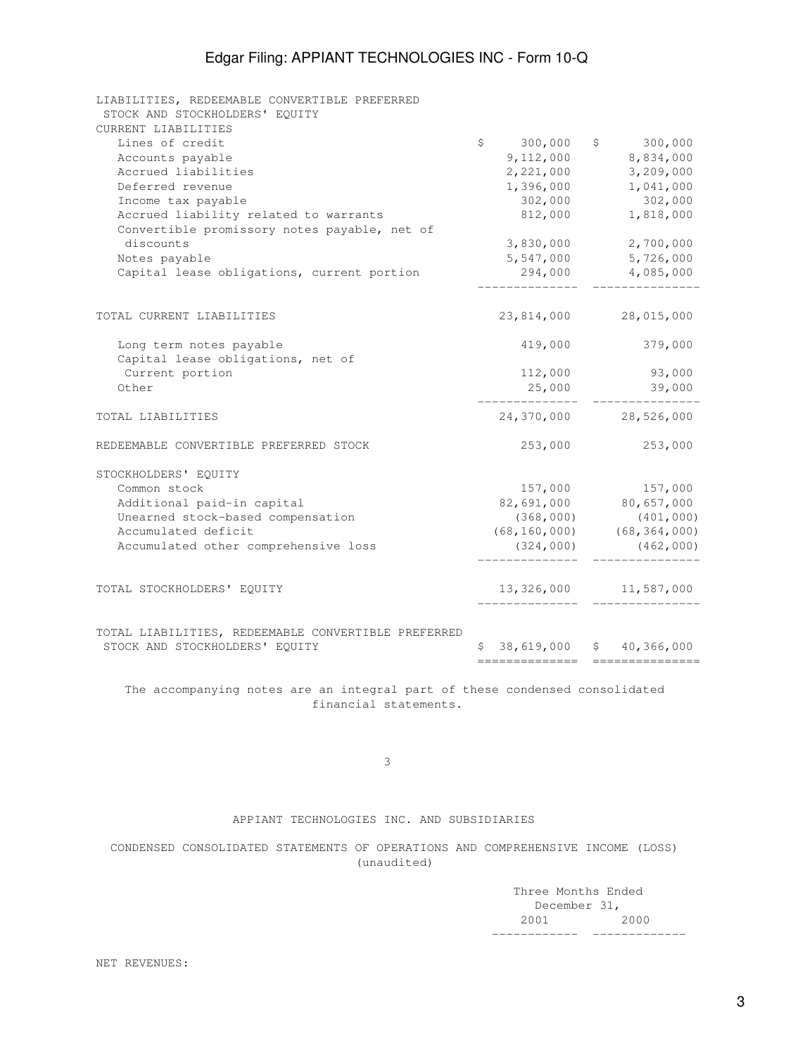| LIABILITIES, REDEEMABLE CONVERTIBLE PREFERRED       |                |                       |                                   |
|-----------------------------------------------------|----------------|-----------------------|-----------------------------------|
| STOCK AND STOCKHOLDERS' EQUITY                      |                |                       |                                   |
| CURRENT LIABILITIES                                 |                |                       |                                   |
| Lines of credit                                     | $\mathsf{S}^-$ | 300,000               | \$300,000                         |
| Accounts payable                                    |                | 9,112,000             | 8,834,000                         |
| Accrued liabilities                                 |                | 2,221,000             | 3,209,000                         |
| Deferred revenue                                    |                | 1,396,000             | 1,041,000                         |
| Income tax payable                                  |                | 302,000               | 302,000                           |
| Accrued liability related to warrants               |                | 812,000               | 1,818,000                         |
| Convertible promissory notes payable, net of        |                |                       |                                   |
| discounts                                           |                | 3,830,000             | 2,700,000                         |
| Notes payable                                       |                | 5,547,000             | 5,726,000                         |
| Capital lease obligations, current portion          |                | 294,000               | 4,085,000                         |
| TOTAL CURRENT LIABILITIES                           |                |                       |                                   |
|                                                     |                | 23,814,000            | 28,015,000                        |
| Long term notes payable                             |                | 419,000               | 379,000                           |
| Capital lease obligations, net of                   |                |                       |                                   |
| Current portion                                     |                | 112,000               | 93,000                            |
| Other                                               |                | 25,000                | 39,000                            |
| TOTAL LIABILITIES                                   |                | 24,370,000 28,526,000 |                                   |
| REDEEMABLE CONVERTIBLE PREFERRED STOCK              |                | 253,000               | 253,000                           |
| STOCKHOLDERS' EOUITY                                |                |                       |                                   |
| Common stock                                        |                | 157,000               | 157,000                           |
| Additional paid-in capital                          |                | 82,691,000            | 80,657,000                        |
| Unearned stock-based compensation                   |                | (368,000)             | (401, 000)                        |
| Accumulated deficit                                 |                |                       | $(68, 160, 000)$ $(68, 364, 000)$ |
| Accumulated other comprehensive loss                |                | (324,000)             | (462,000)                         |
|                                                     |                |                       |                                   |
| TOTAL STOCKHOLDERS' EQUITY                          |                |                       | 13, 326, 000 11, 587, 000         |
| TOTAL LIABILITIES, REDEEMABLE CONVERTIBLE PREFERRED |                |                       |                                   |
| STOCK AND STOCKHOLDERS' EQUITY                      |                | \$38,619,000          | \$40,366,000                      |
|                                                     |                | ==============        | ===========                       |

 The accompanying notes are an integral part of these condensed consolidated financial statements.

 $\sim$  3

## APPIANT TECHNOLOGIES INC. AND SUBSIDIARIES

 CONDENSED CONSOLIDATED STATEMENTS OF OPERATIONS AND COMPREHENSIVE INCOME (LOSS) (unaudited)

 Three Months Ended December 31, 2001 2000 ------------ -------------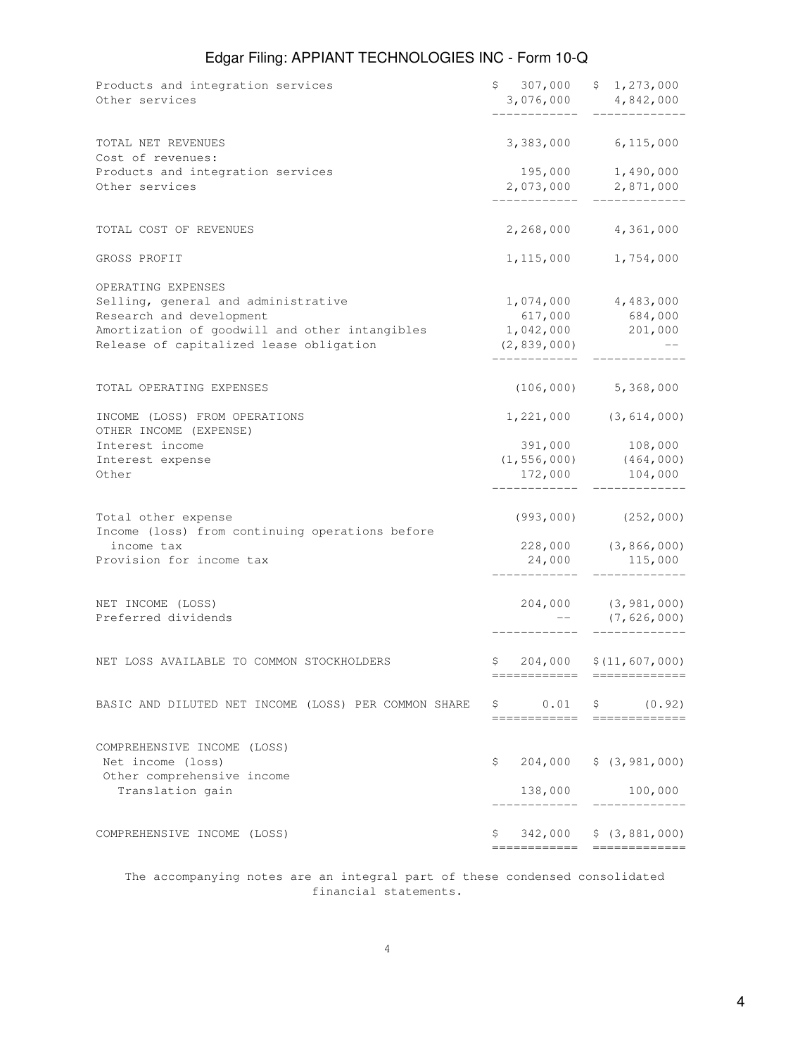| Products and integration services<br>Other services                                       |                            | $$307,000$ $$1,273,000$<br>3,076,000 4,842,000   |
|-------------------------------------------------------------------------------------------|----------------------------|--------------------------------------------------|
| TOTAL NET REVENUES<br>Cost of revenues:                                                   |                            | 3,383,000 6,115,000                              |
| Products and integration services<br>Other services                                       |                            | 195,000 1,490,000<br>2,073,000 2,871,000         |
| TOTAL COST OF REVENUES                                                                    |                            | 2,268,000 4,361,000                              |
| GROSS PROFIT                                                                              |                            | 1, 115, 000 1, 754, 000                          |
| OPERATING EXPENSES<br>Selling, general and administrative<br>Research and development     | 617,000                    | $1,074,000$ $4,483,000$<br>684,000               |
| Amortization of goodwill and other intangibles<br>Release of capitalized lease obligation | 1,042,000<br>(2, 839, 000) | 201,000                                          |
| TOTAL OPERATING EXPENSES                                                                  |                            | $(106, 000)$ 5, 368, 000                         |
| INCOME (LOSS) FROM OPERATIONS<br>OTHER INCOME (EXPENSE)                                   |                            | $1,221,000$ $(3,614,000)$                        |
| Interest income<br>Interest expense<br>Other                                              | (1, 556, 000)<br>172,000   | 391,000 108,000<br>(464, 000)<br>104,000         |
| Total other expense<br>Income (loss) from continuing operations before<br>income tax      |                            | $(993, 000)$ $(252, 000)$<br>228,000 (3,866,000) |
| Provision for income tax                                                                  |                            | 24,000 115,000                                   |
| NET INCOME (LOSS)<br>Preferred dividends                                                  |                            | 204,000 (3,981,000)<br>(7,626,000)               |
| NET LOSS AVAILABLE TO COMMON STOCKHOLDERS                                                 |                            | $$204,000 \t$ (11,607,000)$                      |
| BASIC AND DILUTED NET INCOME (LOSS) PER COMMON SHARE                                      |                            | $$0.01$ \$ $(0.92)$                              |
| COMPREHENSIVE INCOME (LOSS)<br>Net income (loss)                                          | \$                         | 204,000 \$ (3,981,000)                           |
| Other comprehensive income<br>Translation gain                                            | 138,000<br>-----------     | 100,000                                          |
| COMPREHENSIVE INCOME (LOSS)                                                               | ====================       | $$342,000 \t$ (3,881,000)$                       |

 The accompanying notes are an integral part of these condensed consolidated financial statements.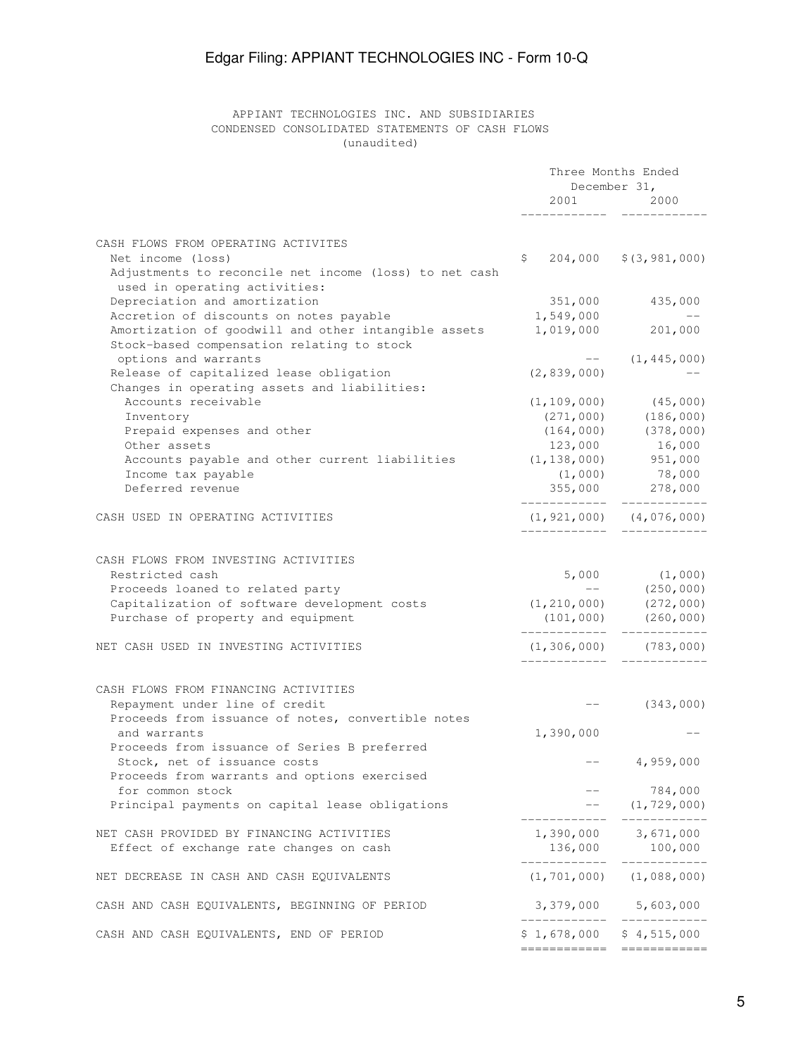## APPIANT TECHNOLOGIES INC. AND SUBSIDIARIES CONDENSED CONSOLIDATED STATEMENTS OF CASH FLOWS (unaudited)

|                                                                                                    | Three Months Ended<br>December 31, |                                                                  |  |
|----------------------------------------------------------------------------------------------------|------------------------------------|------------------------------------------------------------------|--|
|                                                                                                    | 2001                               | 2000                                                             |  |
| CASH FLOWS FROM OPERATING ACTIVITES                                                                |                                    |                                                                  |  |
| Net income (loss)                                                                                  |                                    | $$204,000$ $$(3,981,000)$                                        |  |
| Adjustments to reconcile net income (loss) to net cash<br>used in operating activities:            |                                    |                                                                  |  |
| Depreciation and amortization                                                                      | 351,000                            | 435,000                                                          |  |
| Accretion of discounts on notes payable                                                            | 1,549,000                          |                                                                  |  |
| Amortization of goodwill and other intangible assets<br>Stock-based compensation relating to stock | 1,019,000                          | 201,000                                                          |  |
| options and warrants                                                                               |                                    | $--$ (1,445,000)                                                 |  |
| Release of capitalized lease obligation<br>Changes in operating assets and liabilities:            | (2, 839, 000)                      |                                                                  |  |
| Accounts receivable                                                                                |                                    | $(1, 109, 000)$ (45,000)                                         |  |
| Inventory                                                                                          |                                    | $(271,000)$ $(186,000)$                                          |  |
| Prepaid expenses and other                                                                         |                                    | $(164, 000)$ $(378, 000)$                                        |  |
| Other assets                                                                                       | 123,000                            | 16,000                                                           |  |
| Accounts payable and other current liabilities                                                     | $(1, 138, 000)$ 951,000            |                                                                  |  |
| Income tax payable                                                                                 |                                    | $(1,000)$ 78,000                                                 |  |
| Deferred revenue                                                                                   | _____________                      | 355,000 278,000<br>____________                                  |  |
| CASH USED IN OPERATING ACTIVITIES                                                                  |                                    | $(1, 921, 000)$ $(4, 076, 000)$                                  |  |
|                                                                                                    |                                    |                                                                  |  |
| CASH FLOWS FROM INVESTING ACTIVITIES                                                               |                                    |                                                                  |  |
| Restricted cash                                                                                    |                                    |                                                                  |  |
| Proceeds loaned to related party                                                                   |                                    | $5,000$ $(1,000)$<br>-- $(250,000)$                              |  |
| Capitalization of software development costs                                                       |                                    | $(1, 210, 000)$ $(272, 000)$                                     |  |
|                                                                                                    |                                    |                                                                  |  |
| Purchase of property and equipment                                                                 |                                    | $(101, 000)$ $(260, 000)$<br>------------                        |  |
| NET CASH USED IN INVESTING ACTIVITIES                                                              |                                    | $(1, 306, 000)$ (783,000)                                        |  |
| CASH FLOWS FROM FINANCING ACTIVITIES                                                               |                                    |                                                                  |  |
| Repayment under line of credit                                                                     |                                    | $---$ (343,000)                                                  |  |
| Proceeds from issuance of notes, convertible notes                                                 |                                    |                                                                  |  |
| and warrants                                                                                       | 1,390,000                          |                                                                  |  |
| Proceeds from issuance of Series B preferred                                                       |                                    |                                                                  |  |
| Stock, net of issuance costs<br>Proceeds from warrants and options exercised                       |                                    | 4,959,000                                                        |  |
| for common stock                                                                                   |                                    |                                                                  |  |
| Principal payments on capital lease obligations                                                    |                                    | $\begin{array}{cc} -- & 784,000 \\ -- & (1,729,000) \end{array}$ |  |
| NET CASH PROVIDED BY FINANCING ACTIVITIES                                                          |                                    | 1,390,000 3,671,000                                              |  |
| Effect of exchange rate changes on cash                                                            |                                    | 136,000 100,000                                                  |  |
| NET DECREASE IN CASH AND CASH EQUIVALENTS                                                          |                                    | $(1, 701, 000)$ $(1, 088, 000)$                                  |  |
| CASH AND CASH EQUIVALENTS, BEGINNING OF PERIOD                                                     |                                    | 3,379,000 5,603,000                                              |  |
| CASH AND CASH EQUIVALENTS, END OF PERIOD                                                           | $$1,678,000$ $$4,515,000$          |                                                                  |  |
|                                                                                                    |                                    |                                                                  |  |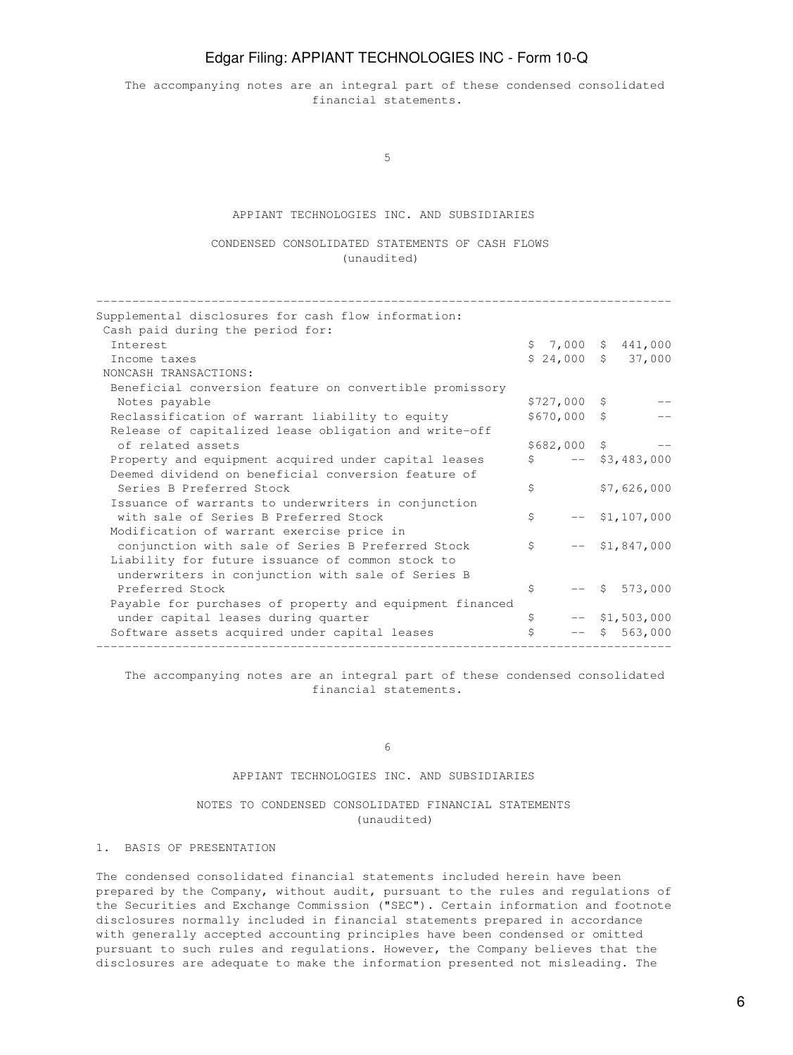The accompanying notes are an integral part of these condensed consolidated financial statements.

 $\sim$  5

## APPIANT TECHNOLOGIES INC. AND SUBSIDIARIES

 CONDENSED CONSOLIDATED STATEMENTS OF CASH FLOWS (unaudited)

| Supplemental disclosures for cash flow information:<br>Cash paid during the period for: |              |               |         |                     |
|-----------------------------------------------------------------------------------------|--------------|---------------|---------|---------------------|
| <b>Tnterest</b>                                                                         |              |               |         | $$7,000$ $$441,000$ |
| Income taxes                                                                            |              |               |         | $$24,000$ $$37,000$ |
|                                                                                         |              |               |         |                     |
| NONCASH TRANSACTIONS:                                                                   |              |               |         |                     |
| Beneficial conversion feature on convertible promissory                                 |              |               |         |                     |
| Notes payable                                                                           |              | $$727,000$ \$ |         |                     |
| Reclassification of warrant liability to equity                                         |              | $$670,000$ \$ |         |                     |
| Release of capitalized lease obligation and write-off                                   |              |               |         |                     |
| of related assets                                                                       |              | \$682,000 \$  |         |                     |
| Property and equipment acquired under capital leases                                    | Ŝ.           |               |         | $--$ \$3,483,000    |
| Deemed dividend on beneficial conversion feature of                                     |              |               |         |                     |
| Series B Preferred Stock                                                                | Ś            |               |         | \$7,626,000         |
| Issuance of warrants to underwriters in conjunction                                     |              |               |         |                     |
| with sale of Series B Preferred Stock                                                   | \$           |               |         | $--$ \$1,107,000    |
| Modification of warrant exercise price in                                               |              |               |         |                     |
| conjunction with sale of Series B Preferred Stock                                       | $\mathsf{S}$ |               |         | $--$ \$1,847,000    |
| Liability for future issuance of common stock to                                        |              |               |         |                     |
|                                                                                         |              |               |         |                     |
| underwriters in conjunction with sale of Series B                                       |              |               |         |                     |
| Preferred Stock                                                                         | \$           |               |         | $--$ \$ 573,000     |
| Payable for purchases of property and equipment financed                                |              |               |         |                     |
| under capital leases during quarter                                                     | \$           |               |         | $--$ \$1,503,000    |
| Software assets acquired under capital leases                                           | \$           |               | $--$ \$ | 563,000             |
|                                                                                         |              |               |         |                     |

 The accompanying notes are an integral part of these condensed consolidated financial statements.

#### $\sim$  6

#### APPIANT TECHNOLOGIES INC. AND SUBSIDIARIES

## NOTES TO CONDENSED CONSOLIDATED FINANCIAL STATEMENTS (unaudited)

## 1. BASIS OF PRESENTATION

The condensed consolidated financial statements included herein have been prepared by the Company, without audit, pursuant to the rules and regulations of the Securities and Exchange Commission ("SEC"). Certain information and footnote disclosures normally included in financial statements prepared in accordance with generally accepted accounting principles have been condensed or omitted pursuant to such rules and regulations. However, the Company believes that the disclosures are adequate to make the information presented not misleading. The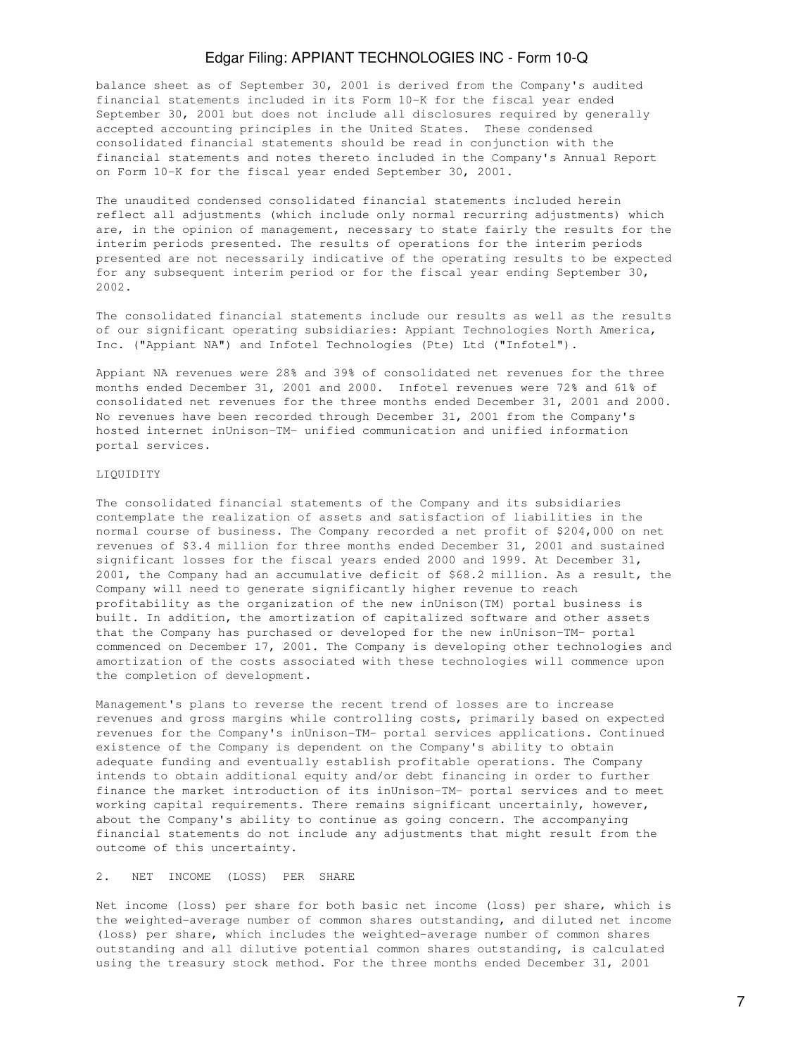balance sheet as of September 30, 2001 is derived from the Company's audited financial statements included in its Form 10-K for the fiscal year ended September 30, 2001 but does not include all disclosures required by generally accepted accounting principles in the United States. These condensed consolidated financial statements should be read in conjunction with the financial statements and notes thereto included in the Company's Annual Report on Form 10-K for the fiscal year ended September 30, 2001.

The unaudited condensed consolidated financial statements included herein reflect all adjustments (which include only normal recurring adjustments) which are, in the opinion of management, necessary to state fairly the results for the interim periods presented. The results of operations for the interim periods presented are not necessarily indicative of the operating results to be expected for any subsequent interim period or for the fiscal year ending September 30, 2002.

The consolidated financial statements include our results as well as the results of our significant operating subsidiaries: Appiant Technologies North America, Inc. ("Appiant NA") and Infotel Technologies (Pte) Ltd ("Infotel").

Appiant NA revenues were 28% and 39% of consolidated net revenues for the three months ended December 31, 2001 and 2000. Infotel revenues were 72% and 61% of consolidated net revenues for the three months ended December 31, 2001 and 2000. No revenues have been recorded through December 31, 2001 from the Company's hosted internet inUnison-TM- unified communication and unified information portal services.

#### LIQUIDITY

The consolidated financial statements of the Company and its subsidiaries contemplate the realization of assets and satisfaction of liabilities in the normal course of business. The Company recorded a net profit of \$204,000 on net revenues of \$3.4 million for three months ended December 31, 2001 and sustained significant losses for the fiscal years ended 2000 and 1999. At December 31, 2001, the Company had an accumulative deficit of \$68.2 million. As a result, the Company will need to generate significantly higher revenue to reach profitability as the organization of the new inUnison(TM) portal business is built. In addition, the amortization of capitalized software and other assets that the Company has purchased or developed for the new inUnison-TM- portal commenced on December 17, 2001. The Company is developing other technologies and amortization of the costs associated with these technologies will commence upon the completion of development.

Management's plans to reverse the recent trend of losses are to increase revenues and gross margins while controlling costs, primarily based on expected revenues for the Company's inUnison-TM- portal services applications. Continued existence of the Company is dependent on the Company's ability to obtain adequate funding and eventually establish profitable operations. The Company intends to obtain additional equity and/or debt financing in order to further finance the market introduction of its inUnison-TM- portal services and to meet working capital requirements. There remains significant uncertainly, however, about the Company's ability to continue as going concern. The accompanying financial statements do not include any adjustments that might result from the outcome of this uncertainty.

#### 2. NET INCOME (LOSS) PER SHARE

Net income (loss) per share for both basic net income (loss) per share, which is the weighted-average number of common shares outstanding, and diluted net income (loss) per share, which includes the weighted-average number of common shares outstanding and all dilutive potential common shares outstanding, is calculated using the treasury stock method. For the three months ended December 31, 2001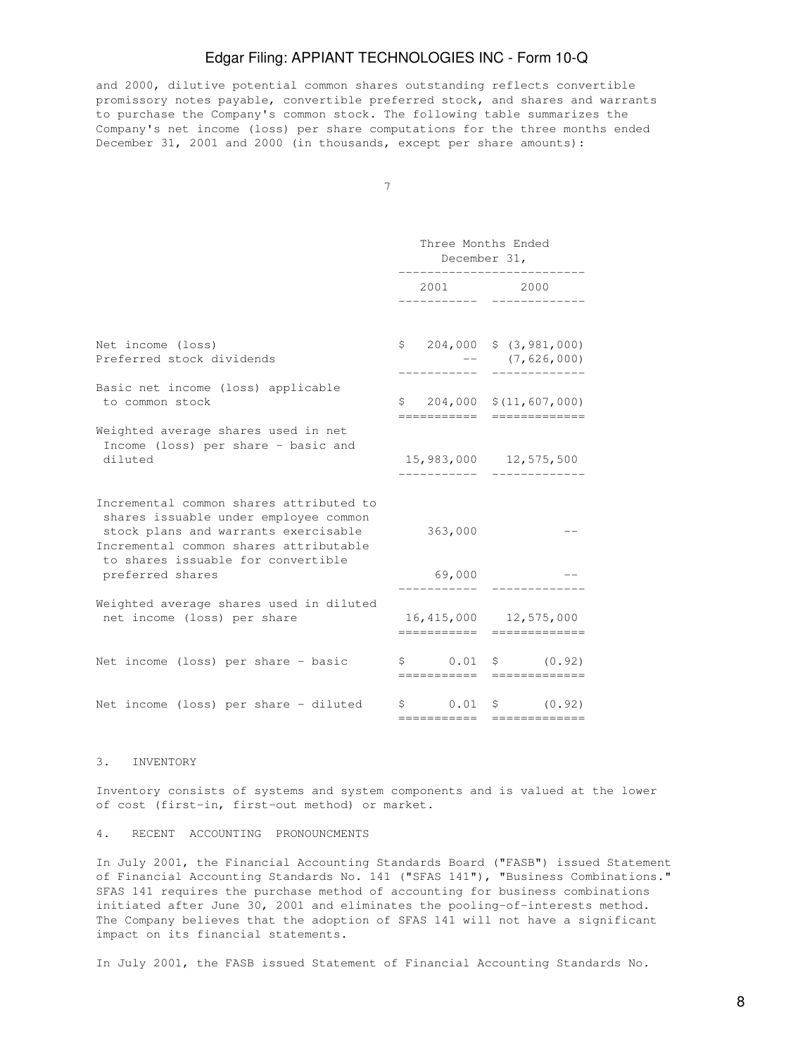and 2000, dilutive potential common shares outstanding reflects convertible promissory notes payable, convertible preferred stock, and shares and warrants to purchase the Company's common stock. The following table summarizes the Company's net income (loss) per share computations for the three months ended December 31, 2001 and 2000 (in thousands, except per share amounts):

|                                                                                                                                                                                                                              | Three Months Ended<br>December 31, |                   |  |                                                                                                                                                                                                                                                                                                                                                                                                                                                                                                                       |
|------------------------------------------------------------------------------------------------------------------------------------------------------------------------------------------------------------------------------|------------------------------------|-------------------|--|-----------------------------------------------------------------------------------------------------------------------------------------------------------------------------------------------------------------------------------------------------------------------------------------------------------------------------------------------------------------------------------------------------------------------------------------------------------------------------------------------------------------------|
|                                                                                                                                                                                                                              | 2001                               |                   |  | 2000                                                                                                                                                                                                                                                                                                                                                                                                                                                                                                                  |
| Net income (loss)<br>Preferred stock dividends                                                                                                                                                                               |                                    |                   |  | $$204,000$$ $$(3,981,000)$<br>$--$ (7,626,000)                                                                                                                                                                                                                                                                                                                                                                                                                                                                        |
| Basic net income (loss) applicable<br>to common stock                                                                                                                                                                        |                                    | ===========       |  | $$204,000 \t$ (11,607,000)$<br>$\begin{array}{cccccccccc} \multicolumn{2}{c}{} & \multicolumn{2}{c}{} & \multicolumn{2}{c}{} & \multicolumn{2}{c}{} & \multicolumn{2}{c}{} & \multicolumn{2}{c}{} & \multicolumn{2}{c}{} & \multicolumn{2}{c}{} & \multicolumn{2}{c}{} & \multicolumn{2}{c}{} & \multicolumn{2}{c}{} & \multicolumn{2}{c}{} & \multicolumn{2}{c}{} & \multicolumn{2}{c}{} & \multicolumn{2}{c}{} & \multicolumn{2}{c}{} & \multicolumn{2}{c}{} & \multicolumn{2}{c}{} & \multicolumn{2}{c}{} & \mult$ |
| Weighted average shares used in net<br>Income (loss) per share - basic and<br>diluted                                                                                                                                        |                                    |                   |  | 15,983,000 12,575,500                                                                                                                                                                                                                                                                                                                                                                                                                                                                                                 |
| Incremental common shares attributed to<br>shares issuable under employee common<br>stock plans and warrants exercisable<br>Incremental common shares attributable<br>to shares issuable for convertible<br>preferred shares |                                    | 363,000<br>69,000 |  |                                                                                                                                                                                                                                                                                                                                                                                                                                                                                                                       |
| Weighted average shares used in diluted<br>net income (loss) per share                                                                                                                                                       |                                    | ===========       |  | 16,415,000 12,575,000                                                                                                                                                                                                                                                                                                                                                                                                                                                                                                 |
| Net income (loss) per share - basic                                                                                                                                                                                          |                                    | -----------       |  | $\begin{matrix} 5 & 0.01 & 5 & (0.92) \end{matrix}$                                                                                                                                                                                                                                                                                                                                                                                                                                                                   |
| Net income (loss) per share - diluted                                                                                                                                                                                        |                                    |                   |  | $\begin{matrix} 5 & 0.01 & 5 & (0.92) \end{matrix}$<br>----------- ------------                                                                                                                                                                                                                                                                                                                                                                                                                                       |

#### 3. INVENTORY

Inventory consists of systems and system components and is valued at the lower of cost (first-in, first-out method) or market.

#### 4. RECENT ACCOUNTING PRONOUNCMENTS

In July 2001, the Financial Accounting Standards Board ("FASB") issued Statement of Financial Accounting Standards No. 141 ("SFAS 141"), "Business Combinations." SFAS 141 requires the purchase method of accounting for business combinations initiated after June 30, 2001 and eliminates the pooling-of-interests method. The Company believes that the adoption of SFAS 141 will not have a significant impact on its financial statements.

In July 2001, the FASB issued Statement of Financial Accounting Standards No.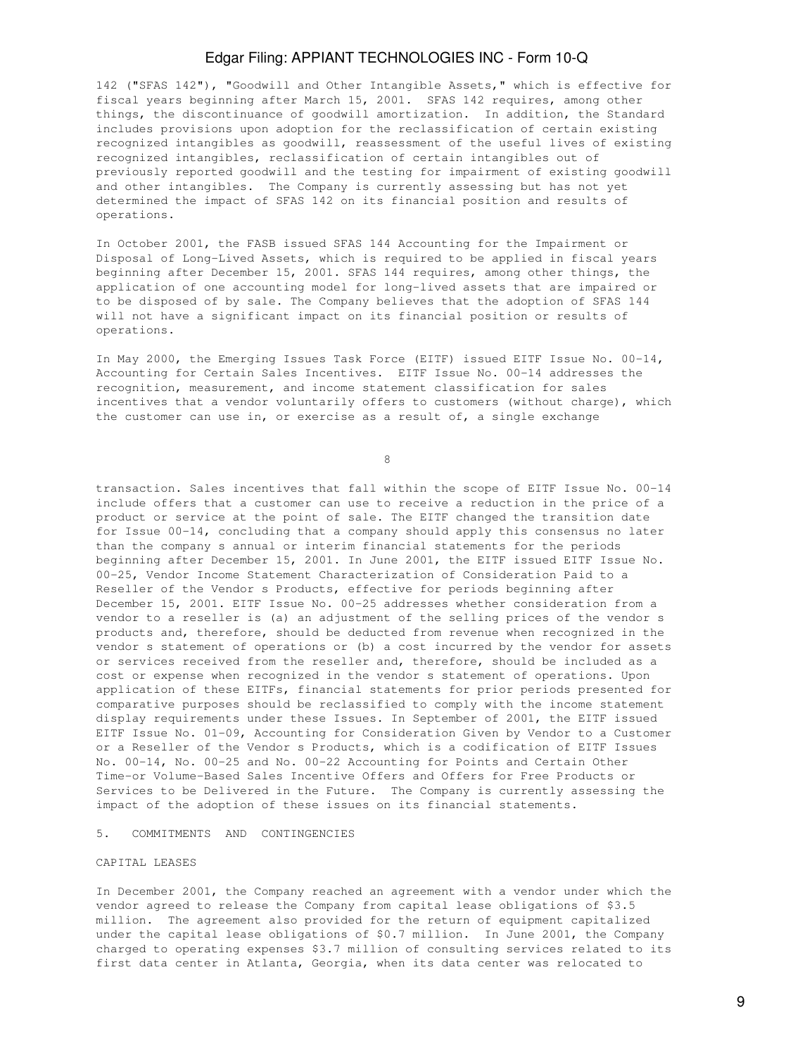142 ("SFAS 142"), "Goodwill and Other Intangible Assets," which is effective for fiscal years beginning after March 15, 2001. SFAS 142 requires, among other things, the discontinuance of goodwill amortization. In addition, the Standard includes provisions upon adoption for the reclassification of certain existing recognized intangibles as goodwill, reassessment of the useful lives of existing recognized intangibles, reclassification of certain intangibles out of previously reported goodwill and the testing for impairment of existing goodwill and other intangibles. The Company is currently assessing but has not yet determined the impact of SFAS 142 on its financial position and results of operations.

In October 2001, the FASB issued SFAS 144 Accounting for the Impairment or Disposal of Long-Lived Assets, which is required to be applied in fiscal years beginning after December 15, 2001. SFAS 144 requires, among other things, the application of one accounting model for long-lived assets that are impaired or to be disposed of by sale. The Company believes that the adoption of SFAS 144 will not have a significant impact on its financial position or results of operations.

In May 2000, the Emerging Issues Task Force (EITF) issued EITF Issue No. 00-14, Accounting for Certain Sales Incentives. EITF Issue No. 00-14 addresses the recognition, measurement, and income statement classification for sales incentives that a vendor voluntarily offers to customers (without charge), which the customer can use in, or exercise as a result of, a single exchange

en andere de la provincia de la provincia de la provincia de la provincia de la provincia de la provincia del<br>En la provincia de la provincia de la provincia de la provincia de la provincia de la provincia de la provinci

transaction. Sales incentives that fall within the scope of EITF Issue No. 00-14 include offers that a customer can use to receive a reduction in the price of a product or service at the point of sale. The EITF changed the transition date for Issue 00-14, concluding that a company should apply this consensus no later than the company s annual or interim financial statements for the periods beginning after December 15, 2001. In June 2001, the EITF issued EITF Issue No. 00-25, Vendor Income Statement Characterization of Consideration Paid to a Reseller of the Vendor s Products, effective for periods beginning after December 15, 2001. EITF Issue No. 00-25 addresses whether consideration from a vendor to a reseller is (a) an adjustment of the selling prices of the vendor s products and, therefore, should be deducted from revenue when recognized in the vendor s statement of operations or (b) a cost incurred by the vendor for assets or services received from the reseller and, therefore, should be included as a cost or expense when recognized in the vendor s statement of operations. Upon application of these EITFs, financial statements for prior periods presented for comparative purposes should be reclassified to comply with the income statement display requirements under these Issues. In September of 2001, the EITF issued EITF Issue No. 01-09, Accounting for Consideration Given by Vendor to a Customer or a Reseller of the Vendor s Products, which is a codification of EITF Issues No. 00-14, No. 00-25 and No. 00-22 Accounting for Points and Certain Other Time-or Volume-Based Sales Incentive Offers and Offers for Free Products or Services to be Delivered in the Future. The Company is currently assessing the impact of the adoption of these issues on its financial statements.

## 5. COMMITMENTS AND CONTINGENCIES

## CAPITAL LEASES

In December 2001, the Company reached an agreement with a vendor under which the vendor agreed to release the Company from capital lease obligations of \$3.5 million. The agreement also provided for the return of equipment capitalized under the capital lease obligations of \$0.7 million. In June 2001, the Company charged to operating expenses \$3.7 million of consulting services related to its first data center in Atlanta, Georgia, when its data center was relocated to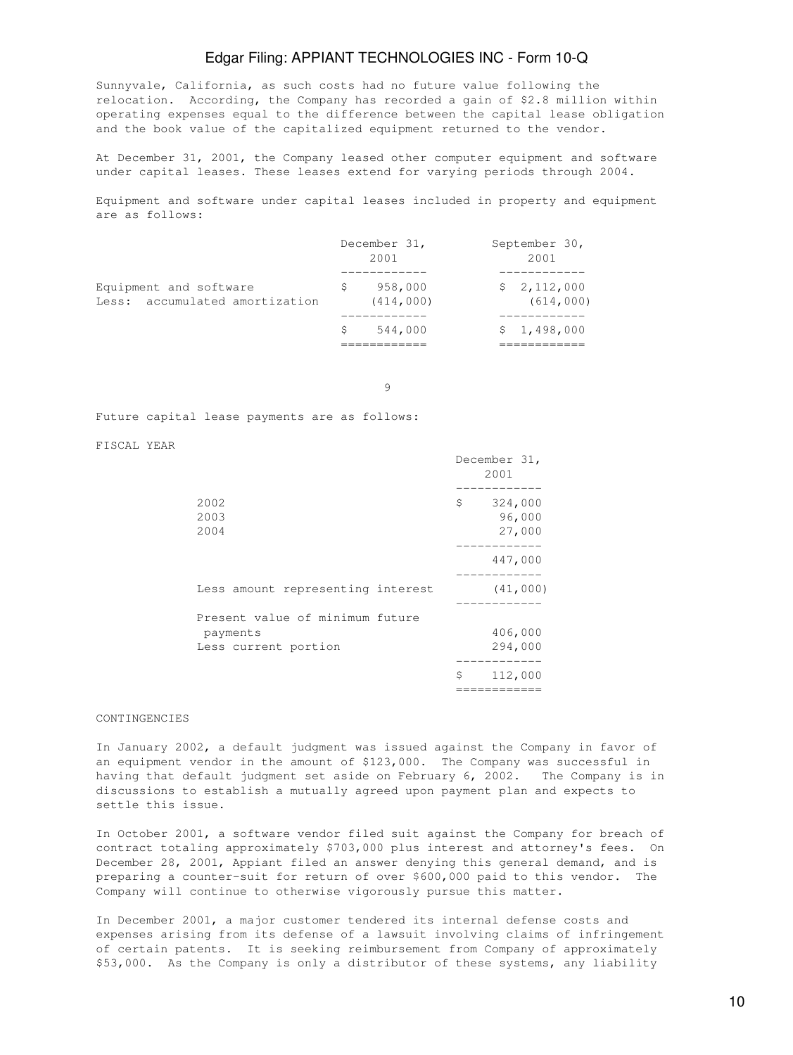Sunnyvale, California, as such costs had no future value following the relocation. According, the Company has recorded a gain of \$2.8 million within operating expenses equal to the difference between the capital lease obligation and the book value of the capitalized equipment returned to the vendor.

At December 31, 2001, the Company leased other computer equipment and software under capital leases. These leases extend for varying periods through 2004.

Equipment and software under capital leases included in property and equipment are as follows:

|                                                          |   | December 31,<br>2001  | September 30,<br>2001    |
|----------------------------------------------------------|---|-----------------------|--------------------------|
| Equipment and software<br>Less: accumulated amortization |   | 958,000<br>(414, 000) | \$2,112,000<br>(614,000) |
|                                                          | S | 544,000               | \$1,498,000              |

9

Future capital lease payments are as follows:

FISCAL YEAR

|                                                                     | December 31,<br>2001              |
|---------------------------------------------------------------------|-----------------------------------|
| 2002<br>2003<br>2004                                                | \$<br>324,000<br>96,000<br>27,000 |
|                                                                     | 447,000                           |
| Less amount representing interest                                   | (41,000)                          |
| Present value of minimum future<br>payments<br>Less current portion | 406,000<br>294,000                |
|                                                                     | \$<br>112,000                     |

## CONTINGENCIES

In January 2002, a default judgment was issued against the Company in favor of an equipment vendor in the amount of \$123,000. The Company was successful in having that default judgment set aside on February 6, 2002. The Company is in discussions to establish a mutually agreed upon payment plan and expects to settle this issue.

In October 2001, a software vendor filed suit against the Company for breach of contract totaling approximately \$703,000 plus interest and attorney's fees. On December 28, 2001, Appiant filed an answer denying this general demand, and is preparing a counter-suit for return of over \$600,000 paid to this vendor. The Company will continue to otherwise vigorously pursue this matter.

In December 2001, a major customer tendered its internal defense costs and expenses arising from its defense of a lawsuit involving claims of infringement of certain patents. It is seeking reimbursement from Company of approximately \$53,000. As the Company is only a distributor of these systems, any liability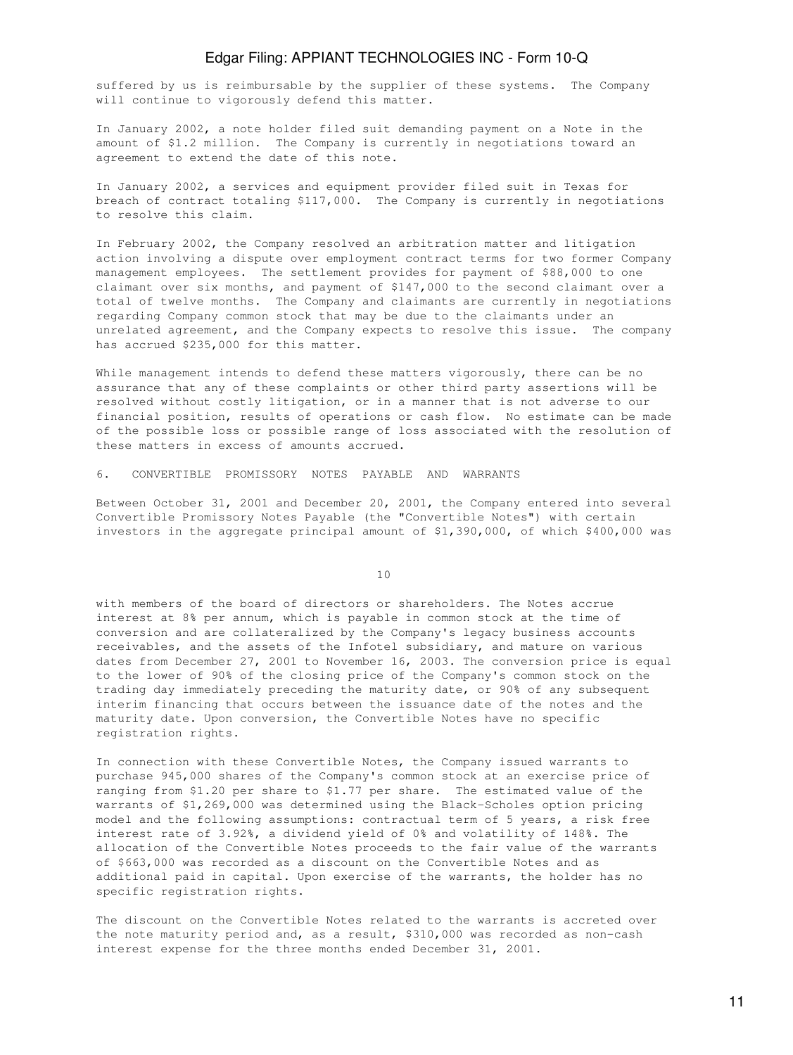suffered by us is reimbursable by the supplier of these systems. The Company will continue to vigorously defend this matter.

In January 2002, a note holder filed suit demanding payment on a Note in the amount of \$1.2 million. The Company is currently in negotiations toward an agreement to extend the date of this note.

In January 2002, a services and equipment provider filed suit in Texas for breach of contract totaling \$117,000. The Company is currently in negotiations to resolve this claim.

In February 2002, the Company resolved an arbitration matter and litigation action involving a dispute over employment contract terms for two former Company management employees. The settlement provides for payment of \$88,000 to one claimant over six months, and payment of \$147,000 to the second claimant over a total of twelve months. The Company and claimants are currently in negotiations regarding Company common stock that may be due to the claimants under an unrelated agreement, and the Company expects to resolve this issue. The company has accrued \$235,000 for this matter.

While management intends to defend these matters vigorously, there can be no assurance that any of these complaints or other third party assertions will be resolved without costly litigation, or in a manner that is not adverse to our financial position, results of operations or cash flow. No estimate can be made of the possible loss or possible range of loss associated with the resolution of these matters in excess of amounts accrued.

#### 6. CONVERTIBLE PROMISSORY NOTES PAYABLE AND WARRANTS

Between October 31, 2001 and December 20, 2001, the Company entered into several Convertible Promissory Notes Payable (the "Convertible Notes") with certain investors in the aggregate principal amount of \$1,390,000, of which \$400,000 was

10

with members of the board of directors or shareholders. The Notes accrue interest at 8% per annum, which is payable in common stock at the time of conversion and are collateralized by the Company's legacy business accounts receivables, and the assets of the Infotel subsidiary, and mature on various dates from December 27, 2001 to November 16, 2003. The conversion price is equal to the lower of 90% of the closing price of the Company's common stock on the trading day immediately preceding the maturity date, or 90% of any subsequent interim financing that occurs between the issuance date of the notes and the maturity date. Upon conversion, the Convertible Notes have no specific registration rights.

In connection with these Convertible Notes, the Company issued warrants to purchase 945,000 shares of the Company's common stock at an exercise price of ranging from \$1.20 per share to \$1.77 per share. The estimated value of the warrants of \$1,269,000 was determined using the Black-Scholes option pricing model and the following assumptions: contractual term of 5 years, a risk free interest rate of 3.92%, a dividend yield of 0% and volatility of 148%. The allocation of the Convertible Notes proceeds to the fair value of the warrants of \$663,000 was recorded as a discount on the Convertible Notes and as additional paid in capital. Upon exercise of the warrants, the holder has no specific registration rights.

The discount on the Convertible Notes related to the warrants is accreted over the note maturity period and, as a result, \$310,000 was recorded as non-cash interest expense for the three months ended December 31, 2001.